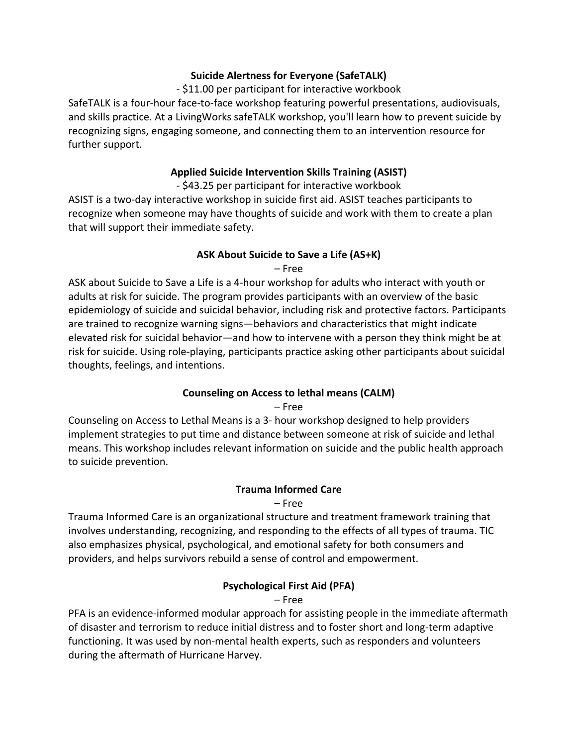#### **Suicide Alertness for Everyone (SafeTALK)**

#### - \$11.00 per participant for interactive workbook

SafeTALK is a four-hour face-to-face workshop featuring powerful presentations, audiovisuals, and skills practice. At a LivingWorks safeTALK workshop, you'll learn how to prevent suicide by recognizing signs, engaging someone, and connecting them to an intervention resource for further support.

#### **Applied Suicide Intervention Skills Training (ASIST)**

- \$43.25 per participant for interactive workbook

ASIST is a two-day interactive workshop in suicide first aid. ASIST teaches participants to recognize when someone may have thoughts of suicide and work with them to create a plan that will support their immediate safety.

# **ASK About Suicide to Save a Life (AS+K)**

– Free

ASK about Suicide to Save a Life is a 4-hour workshop for adults who interact with youth or adults at risk for suicide. The program provides participants with an overview of the basic epidemiology of suicide and suicidal behavior, including risk and protective factors. Participants are trained to recognize warning signs—behaviors and characteristics that might indicate elevated risk for suicidal behavior—and how to intervene with a person they think might be at risk for suicide. Using role-playing, participants practice asking other participants about suicidal thoughts, feelings, and intentions.

# **Counseling on Access to lethal means (CALM)**

– Free

Counseling on Access to Lethal Means is a 3- hour workshop designed to help providers implement strategies to put time and distance between someone at risk of suicide and lethal means. This workshop includes relevant information on suicide and the public health approach to suicide prevention.

# **Trauma Informed Care**

### – Free

Trauma Informed Care is an organizational structure and treatment framework training that involves understanding, recognizing, and responding to the effects of all types of trauma. TIC also emphasizes physical, psychological, and emotional safety for both consumers and providers, and helps survivors rebuild a sense of control and empowerment.

# **Psychological First Aid (PFA)**

– Free

PFA is an evidence-informed modular approach for assisting people in the immediate aftermath of disaster and terrorism to reduce initial distress and to foster short and long-term adaptive functioning. It was used by non-mental health experts, such as responders and volunteers during the aftermath of Hurricane Harvey.